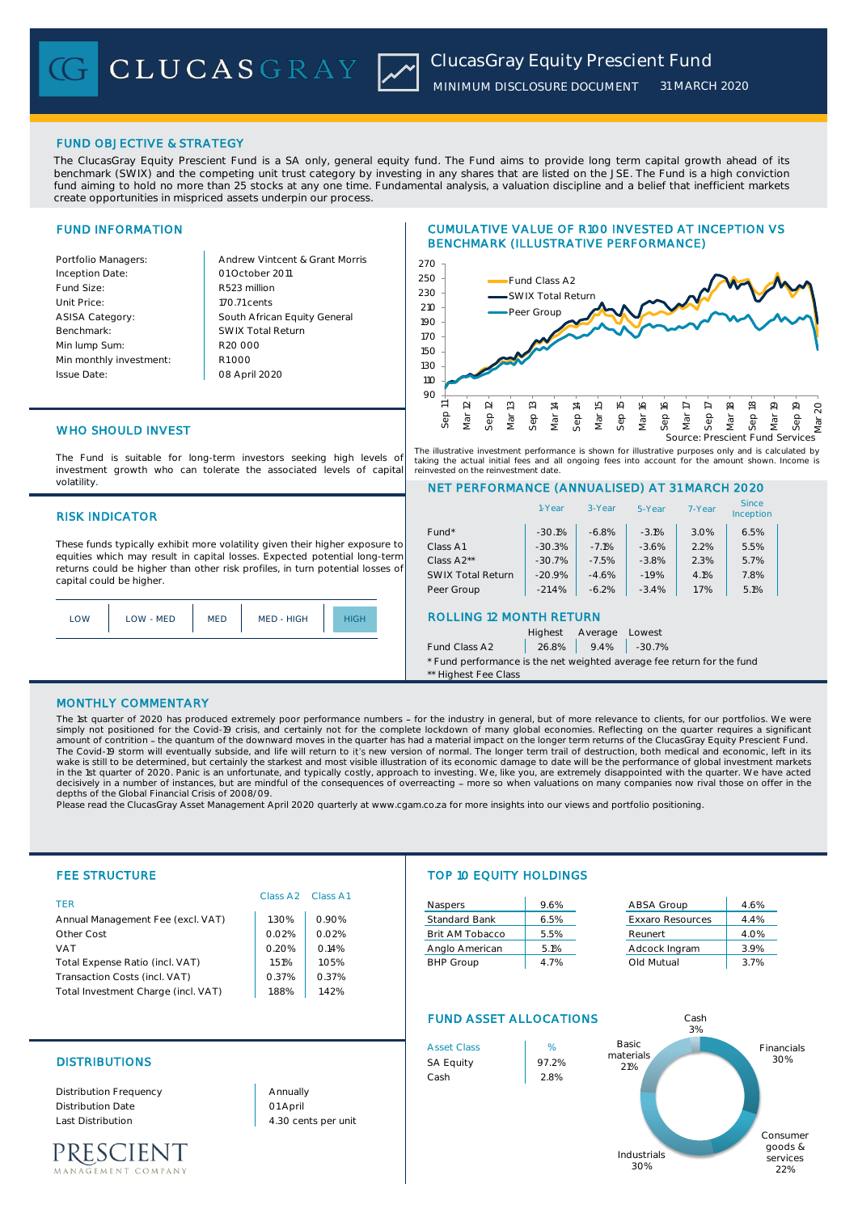# FUND OBJECTIVE & STRATEGY

The ClucasGray Equity Prescient Fund is a SA only, general equity fund. The Fund aims to provide long term capital growth ahead of its benchmark (SWIX) and the competing unit trust category by investing in any shares that are listed on the JSE. The Fund is a high conviction fund aiming to hold no more than 25 stocks at any one time. Fundamental analysis, a valuation discipline and a belief that inefficient markets create opportunities in mispriced assets underpin our process.

# FUND INFORMATION

Inception Date: Fund Size: R523 million Unit Price: ASISA Category: Benchmark: Min lump Sum: Min monthly investment: Issue Date:

Portfolio Managers: Andrew Vintcent & Grant Morris South African Equity General 170.71 cents R1 000 01 October 2011 08 April 2020 R20 000 SWIX Total Return

## CUMULATIVE VALUE OF R100 INVESTED AT INCEPTION VS BENCHMARK (ILLUSTRATIVE PERFORMANCE)



# WHO SHOULD INVEST

The Fund is suitable for long-term investors seeking high levels of investment growth who can tolerate the associated levels of capital volatility.

#### RISK INDICATOR

These funds typically exhibit more volatility given their higher exposure to equities which may result in capital losses. Expected potential long-term returns could be higher than other risk profiles, in turn potential losses of capital could be higher.



The illustrative investment performance is shown for illustrative purposes only and is calculated by taking the actual initial fees and all ongoing fees into account for the amount shown. Income is reinvested on the reinvestment date.

#### NET PERFORMANCE (ANNUALISED) AT 31 MARCH 2020

|                                                                        | 1-Year   | 3-Year  | 5-Year   | 7-Year | <b>Since</b><br>Inception |  |
|------------------------------------------------------------------------|----------|---------|----------|--------|---------------------------|--|
| $Fund*$                                                                | $-30.1%$ | $-6.8%$ | $-3.1%$  | 3.0%   | 6.5%                      |  |
| Class A1                                                               | $-30.3%$ | $-7.1%$ | $-3.6%$  | 2.2%   | 5.5%                      |  |
| Class A <sub>2</sub> **                                                | $-30.7%$ | $-7.5%$ | $-3.8%$  | 2.3%   | 5.7%                      |  |
| <b>SWIX Total Return</b>                                               | $-20.9%$ | $-4.6%$ | $-1.9%$  | 4.1%   | 7.8%                      |  |
| Peer Group                                                             | $-21.4%$ | $-6.2%$ | $-3.4%$  | 1.7%   | 5.1%                      |  |
| <b>ROLLING 12 MONTH RETURN</b>                                         |          |         |          |        |                           |  |
|                                                                        | Highest  | Average | Lowest   |        |                           |  |
| Fund Class A2                                                          | 26.8%    | 9.4%    | $-30.7%$ |        |                           |  |
| * Fund performance is the net weighted average fee return for the fund |          |         |          |        |                           |  |
| ** Highest Fee Class                                                   |          |         |          |        |                           |  |

#### MONTHLY COMMENTARY

The 1st quarter of 2020 has produced extremely poor performance numbers - for the industry in general, but of more relevance to clients, for our portfolios. We were simply not positioned for the Covid-19 crisis, and certainly not for the complete lockdown of many global economies. Reflecting on the quarter requires a significant<br>amount of contrition - the quantum of the downward moves The Covid-19 storm will eventually subside, and life will return to it's new version of normal. The longer term trail of destruction, both medical and economic, left in its<br>wake is still to be determined, but certainly the decisively in a number of instances, but are mindful of the consequences of overreacting - more so when valuations on many companies now rival those on offer in the depths of the Global Financial Crisis of 2008/09.

Please read the ClucasGray Asset Management April 2020 quarterly at www.cgam.co.za for more insights into our views and portfolio positioning.

| <b>FEE STRUCTURE</b>                |       |                                           | <b>TOP 10 EQUITY HOLDINGS</b> |      |                         |            |
|-------------------------------------|-------|-------------------------------------------|-------------------------------|------|-------------------------|------------|
| <b>TFR</b>                          |       | Class A <sub>2</sub> Class A <sub>1</sub> | Naspers                       | 9.6% | ABSA Group              | 4.6%       |
| Annual Management Fee (excl. VAT)   | .30%  | 0.90%                                     | <b>Standard Bank</b>          | 6.5% | <b>Exxaro Resources</b> | 4.4%       |
| Other Cost                          | 0.02% | 0.02%                                     | Brit AM Tobacco               | 5.5% | Reunert                 | 4.0%       |
| <b>VAT</b>                          | 0.20% | 0.14%                                     | Anglo American                | 5.1% | Adcock Ingram           | 3.9%       |
| Total Expense Ratio (incl. VAT)     | 1.51% | 1.05%                                     | <b>BHP Group</b>              | 4.7% | Old Mutual              | 3.7%       |
| Transaction Costs (incl. VAT)       | 0.37% | 0.37%                                     |                               |      |                         |            |
| Total Investment Charge (incl. VAT) | .88%  | .42%                                      |                               |      |                         |            |
|                                     |       |                                           | <b>FUND ASSET ALLOCATIONS</b> |      | Cash<br>3%              |            |
|                                     |       |                                           | <b>Asset Class</b>            | %    | Basic                   | Financials |

## DISTRIBUTIONS SA Equity 97.2%

Distribution Frequency Distribution Date Last Distribution 4.30 cents per unit

PRESCIENT EMENT COMPANY 01 April Annually



Industrials 30%

30%

Consumer goods & services 22%